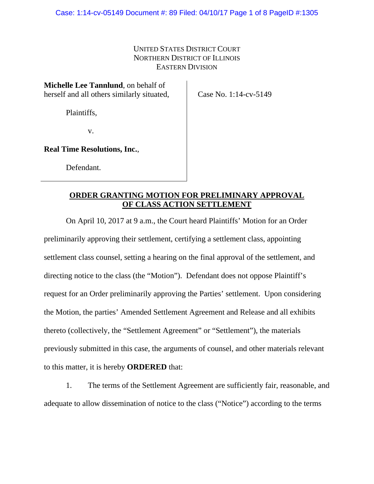### UNITED STATES DISTRICT COURT NORTHERN DISTRICT OF ILLINOIS EASTERN DIVISION

**Michelle Lee Tannlund**, on behalf of herself and all others similarly situated,

Case No. 1:14-cv-5149

Plaintiffs,

v.

**Real Time Resolutions, Inc.**,

Defendant.

# **ORDER GRANTING MOTION FOR PRELIMINARY APPROVAL OF CLASS ACTION SETTLEMENT**

On April 10, 2017 at 9 a.m., the Court heard Plaintiffs' Motion for an Order preliminarily approving their settlement, certifying a settlement class, appointing settlement class counsel, setting a hearing on the final approval of the settlement, and directing notice to the class (the "Motion"). Defendant does not oppose Plaintiff's request for an Order preliminarily approving the Parties' settlement. Upon considering the Motion, the parties' Amended Settlement Agreement and Release and all exhibits thereto (collectively, the "Settlement Agreement" or "Settlement"), the materials previously submitted in this case, the arguments of counsel, and other materials relevant to this matter, it is hereby **ORDERED** that:

1. The terms of the Settlement Agreement are sufficiently fair, reasonable, and adequate to allow dissemination of notice to the class ("Notice") according to the terms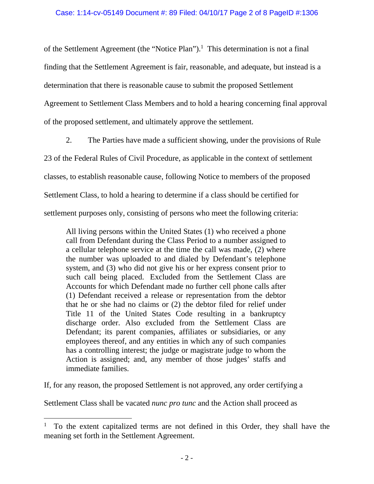of the Settlement Agreement (the "Notice Plan").<sup>1</sup> This determination is not a final finding that the Settlement Agreement is fair, reasonable, and adequate, but instead is a determination that there is reasonable cause to submit the proposed Settlement Agreement to Settlement Class Members and to hold a hearing concerning final approval of the proposed settlement, and ultimately approve the settlement.

2. The Parties have made a sufficient showing, under the provisions of Rule

23 of the Federal Rules of Civil Procedure, as applicable in the context of settlement

classes, to establish reasonable cause, following Notice to members of the proposed

Settlement Class, to hold a hearing to determine if a class should be certified for

settlement purposes only, consisting of persons who meet the following criteria:

All living persons within the United States (1) who received a phone call from Defendant during the Class Period to a number assigned to a cellular telephone service at the time the call was made, (2) where the number was uploaded to and dialed by Defendant's telephone system, and (3) who did not give his or her express consent prior to such call being placed. Excluded from the Settlement Class are Accounts for which Defendant made no further cell phone calls after (1) Defendant received a release or representation from the debtor that he or she had no claims or (2) the debtor filed for relief under Title 11 of the United States Code resulting in a bankruptcy discharge order. Also excluded from the Settlement Class are Defendant; its parent companies, affiliates or subsidiaries, or any employees thereof, and any entities in which any of such companies has a controlling interest; the judge or magistrate judge to whom the Action is assigned; and, any member of those judges' staffs and immediate families.

If, for any reason, the proposed Settlement is not approved, any order certifying a

Settlement Class shall be vacated *nunc pro tunc* and the Action shall proceed as

 $\overline{a}$ 

<sup>1</sup> To the extent capitalized terms are not defined in this Order, they shall have the meaning set forth in the Settlement Agreement.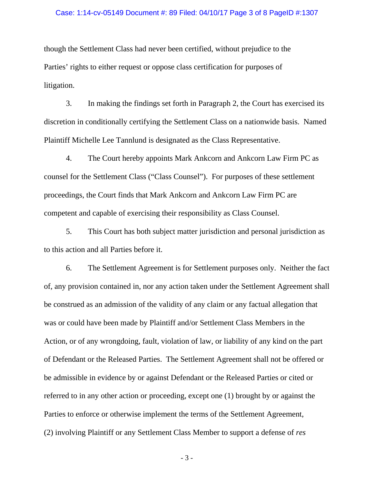#### Case: 1:14-cv-05149 Document #: 89 Filed: 04/10/17 Page 3 of 8 PageID #:1307

though the Settlement Class had never been certified, without prejudice to the Parties' rights to either request or oppose class certification for purposes of litigation.

3. In making the findings set forth in Paragraph 2, the Court has exercised its discretion in conditionally certifying the Settlement Class on a nationwide basis. Named Plaintiff Michelle Lee Tannlund is designated as the Class Representative.

4. The Court hereby appoints Mark Ankcorn and Ankcorn Law Firm PC as counsel for the Settlement Class ("Class Counsel"). For purposes of these settlement proceedings, the Court finds that Mark Ankcorn and Ankcorn Law Firm PC are competent and capable of exercising their responsibility as Class Counsel.

5. This Court has both subject matter jurisdiction and personal jurisdiction as to this action and all Parties before it.

6. The Settlement Agreement is for Settlement purposes only. Neither the fact of, any provision contained in, nor any action taken under the Settlement Agreement shall be construed as an admission of the validity of any claim or any factual allegation that was or could have been made by Plaintiff and/or Settlement Class Members in the Action, or of any wrongdoing, fault, violation of law, or liability of any kind on the part of Defendant or the Released Parties. The Settlement Agreement shall not be offered or be admissible in evidence by or against Defendant or the Released Parties or cited or referred to in any other action or proceeding, except one (1) brought by or against the Parties to enforce or otherwise implement the terms of the Settlement Agreement, (2) involving Plaintiff or any Settlement Class Member to support a defense of *res* 

 $-3-$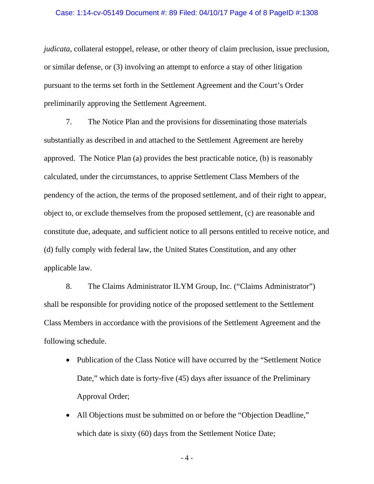#### Case: 1:14-cv-05149 Document #: 89 Filed: 04/10/17 Page 4 of 8 PageID #:1308

*judicata*, collateral estoppel, release, or other theory of claim preclusion, issue preclusion, or similar defense, or (3) involving an attempt to enforce a stay of other litigation pursuant to the terms set forth in the Settlement Agreement and the Court's Order preliminarily approving the Settlement Agreement.

7. The Notice Plan and the provisions for disseminating those materials substantially as described in and attached to the Settlement Agreement are hereby approved. The Notice Plan (a) provides the best practicable notice, (b) is reasonably calculated, under the circumstances, to apprise Settlement Class Members of the pendency of the action, the terms of the proposed settlement, and of their right to appear, object to, or exclude themselves from the proposed settlement, (c) are reasonable and constitute due, adequate, and sufficient notice to all persons entitled to receive notice, and (d) fully comply with federal law, the United States Constitution, and any other applicable law.

8. The Claims Administrator ILYM Group, Inc. ("Claims Administrator") shall be responsible for providing notice of the proposed settlement to the Settlement Class Members in accordance with the provisions of the Settlement Agreement and the following schedule.

- Publication of the Class Notice will have occurred by the "Settlement Notice" Date," which date is forty-five (45) days after issuance of the Preliminary Approval Order;
- All Objections must be submitted on or before the "Objection Deadline," which date is sixty (60) days from the Settlement Notice Date;

 $-4-$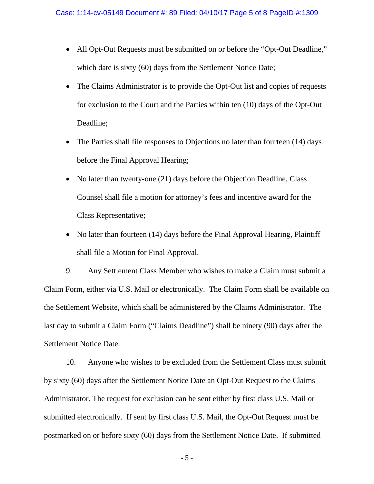- All Opt-Out Requests must be submitted on or before the "Opt-Out Deadline," which date is sixty (60) days from the Settlement Notice Date;
- The Claims Administrator is to provide the Opt-Out list and copies of requests for exclusion to the Court and the Parties within ten (10) days of the Opt-Out Deadline;
- The Parties shall file responses to Objections no later than fourteen (14) days before the Final Approval Hearing;
- No later than twenty-one (21) days before the Objection Deadline, Class Counsel shall file a motion for attorney's fees and incentive award for the Class Representative;
- No later than fourteen (14) days before the Final Approval Hearing, Plaintiff shall file a Motion for Final Approval.

9. Any Settlement Class Member who wishes to make a Claim must submit a Claim Form, either via U.S. Mail or electronically. The Claim Form shall be available on the Settlement Website, which shall be administered by the Claims Administrator. The last day to submit a Claim Form ("Claims Deadline") shall be ninety (90) days after the Settlement Notice Date.

10. Anyone who wishes to be excluded from the Settlement Class must submit by sixty (60) days after the Settlement Notice Date an Opt-Out Request to the Claims Administrator. The request for exclusion can be sent either by first class U.S. Mail or submitted electronically. If sent by first class U.S. Mail, the Opt-Out Request must be postmarked on or before sixty (60) days from the Settlement Notice Date. If submitted

 $-5 -$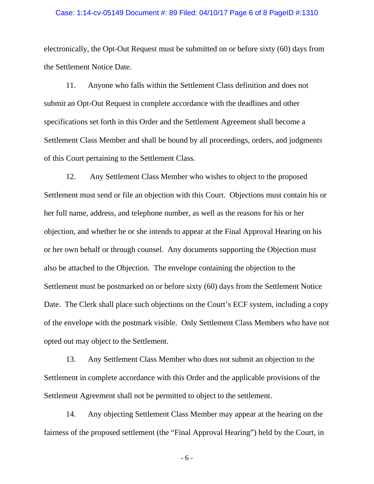#### Case: 1:14-cv-05149 Document #: 89 Filed: 04/10/17 Page 6 of 8 PageID #:1310

electronically, the Opt-Out Request must be submitted on or before sixty (60) days from the Settlement Notice Date.

11. Anyone who falls within the Settlement Class definition and does not submit an Opt-Out Request in complete accordance with the deadlines and other specifications set forth in this Order and the Settlement Agreement shall become a Settlement Class Member and shall be bound by all proceedings, orders, and judgments of this Court pertaining to the Settlement Class.

12. Any Settlement Class Member who wishes to object to the proposed Settlement must send or file an objection with this Court. Objections must contain his or her full name, address, and telephone number, as well as the reasons for his or her objection, and whether he or she intends to appear at the Final Approval Hearing on his or her own behalf or through counsel. Any documents supporting the Objection must also be attached to the Objection. The envelope containing the objection to the Settlement must be postmarked on or before sixty (60) days from the Settlement Notice Date. The Clerk shall place such objections on the Court's ECF system, including a copy of the envelope with the postmark visible. Only Settlement Class Members who have not opted out may object to the Settlement.

13. Any Settlement Class Member who does not submit an objection to the Settlement in complete accordance with this Order and the applicable provisions of the Settlement Agreement shall not be permitted to object to the settlement.

14. Any objecting Settlement Class Member may appear at the hearing on the fairness of the proposed settlement (the "Final Approval Hearing") held by the Court, in

 $-6-$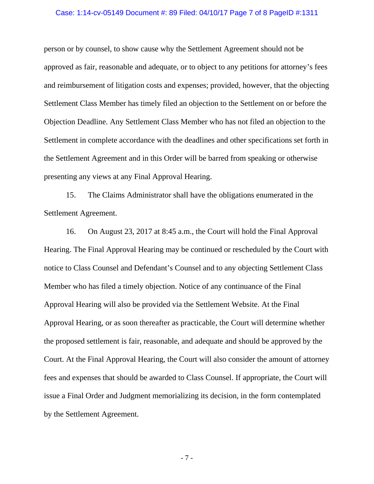#### Case: 1:14-cv-05149 Document #: 89 Filed: 04/10/17 Page 7 of 8 PageID #:1311

person or by counsel, to show cause why the Settlement Agreement should not be approved as fair, reasonable and adequate, or to object to any petitions for attorney's fees and reimbursement of litigation costs and expenses; provided, however, that the objecting Settlement Class Member has timely filed an objection to the Settlement on or before the Objection Deadline. Any Settlement Class Member who has not filed an objection to the Settlement in complete accordance with the deadlines and other specifications set forth in the Settlement Agreement and in this Order will be barred from speaking or otherwise presenting any views at any Final Approval Hearing.

15. The Claims Administrator shall have the obligations enumerated in the Settlement Agreement.

16. On August 23, 2017 at 8:45 a.m., the Court will hold the Final Approval Hearing. The Final Approval Hearing may be continued or rescheduled by the Court with notice to Class Counsel and Defendant's Counsel and to any objecting Settlement Class Member who has filed a timely objection. Notice of any continuance of the Final Approval Hearing will also be provided via the Settlement Website. At the Final Approval Hearing, or as soon thereafter as practicable, the Court will determine whether the proposed settlement is fair, reasonable, and adequate and should be approved by the Court. At the Final Approval Hearing, the Court will also consider the amount of attorney fees and expenses that should be awarded to Class Counsel. If appropriate, the Court will issue a Final Order and Judgment memorializing its decision, in the form contemplated by the Settlement Agreement.

- 7 -